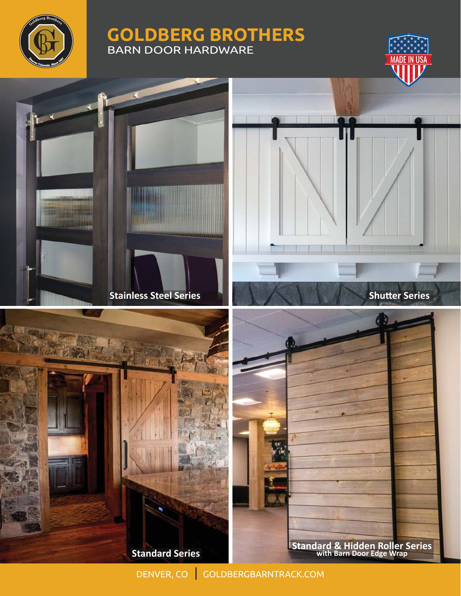

## **GOLDBERG BROTHERS** BARN DOOR HARDWARE





**Standard Series** 

DENVER, CO | GOLDBERGBARNTRACK.COM

**Standard & Hidden Roller Series with Barn Door Edge Wrap**